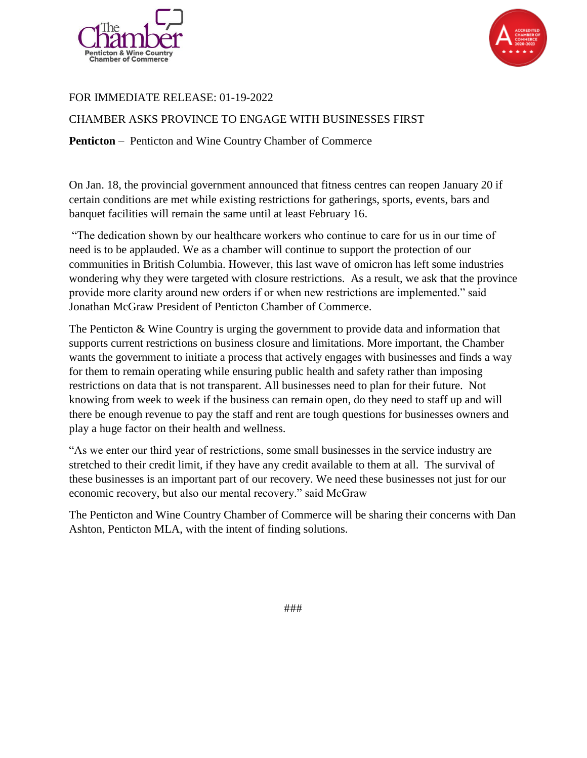



## FOR IMMEDIATE RELEASE: 01-19-2022

CHAMBER ASKS PROVINCE TO ENGAGE WITH BUSINESSES FIRST

**Penticton** – Penticton and Wine Country Chamber of Commerce

On Jan. 18, the provincial government announced that fitness centres can reopen January 20 if certain conditions are met while existing restrictions for gatherings, sports, events, bars and banquet facilities will remain the same until at least February 16.

"The dedication shown by our healthcare workers who continue to care for us in our time of need is to be applauded. We as a chamber will continue to support the protection of our communities in British Columbia. However, this last wave of omicron has left some industries wondering why they were targeted with closure restrictions. As a result, we ask that the province provide more clarity around new orders if or when new restrictions are implemented." said Jonathan McGraw President of Penticton Chamber of Commerce.

The Penticton & Wine Country is urging the government to provide data and information that supports current restrictions on business closure and limitations. More important, the Chamber wants the government to initiate a process that actively engages with businesses and finds a way for them to remain operating while ensuring public health and safety rather than imposing restrictions on data that is not transparent. All businesses need to plan for their future. Not knowing from week to week if the business can remain open, do they need to staff up and will there be enough revenue to pay the staff and rent are tough questions for businesses owners and play a huge factor on their health and wellness.

"As we enter our third year of restrictions, some small businesses in the service industry are stretched to their credit limit, if they have any credit available to them at all. The survival of these businesses is an important part of our recovery. We need these businesses not just for our economic recovery, but also our mental recovery." said McGraw

The Penticton and Wine Country Chamber of Commerce will be sharing their concerns with Dan Ashton, Penticton MLA, with the intent of finding solutions.

###